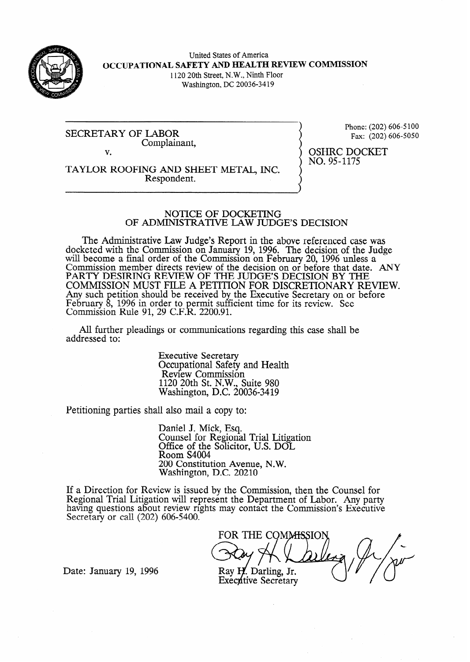

United States of America **OCCUPATIONAL SAFETY AND HEALTH REVIEW COMMISSION**  1120 20th Street, N.W., Ninth Floor Washington, DC 20036-34 19

SECRETARY OF LABOR Complainant, v.

Phone: (202) 606-5 100 Fax: (202) 606-5050

OSHRC DOCKET NO. 95-1175

TAYLOR ROOFING AND SHEET METAL, INC. Respondent.

#### NOTICE OF DOCKETING OF ADMINISTRATIVE LAW JUDGE'S DECISION

The Administrative Law Judge's Report in the above referenced case was docketed with the Commission on January 19, 1996. The decision of the Judge will become a final order of the Commission on February 20, 1996 unless a Commission member directs review of the decision on or before that date. ANY PARTY DESIRING REVIEW OF THE JUDGE'S DECISION BY THE COMMISSION MUST FILE A PETITION FOR DISCRETIONARY REVIEW. Any such petition should be received by the Executive Secretary on or before February 8,  $1996$  in order to Commissioh Rule 91, 29 C.F. ermit sufficient time for its review. See k ff . 2200.91.

All further pleadings or communications regarding this case shall be addressed to:

> Executive Secretary Occupational Safety and Health Review Commission 1120 20th St. N.W., Suite 980 Washington, D.C. 20036-3419

Petitioning parties shall also mail a copy to:

Daniel J. Mick, Esq. Counsel for Regional Trial Litigation Office of the Solicitor, U.S. DOL Room S4004 200 Constitution Avenue, N.W. Washington, D.C. 20210

If a Direction for Review is issued by the Commission, then the Counsel for Regional Trial Litigation will represent the Department of Labor. Any party having questions about review rights may contact the Commission's Executive Secretary or call (202) 606-5400.

FOR THE COMMISSION

Date: January 19, 1996 **•** Ray H. Darling, Jr. Executive Secretary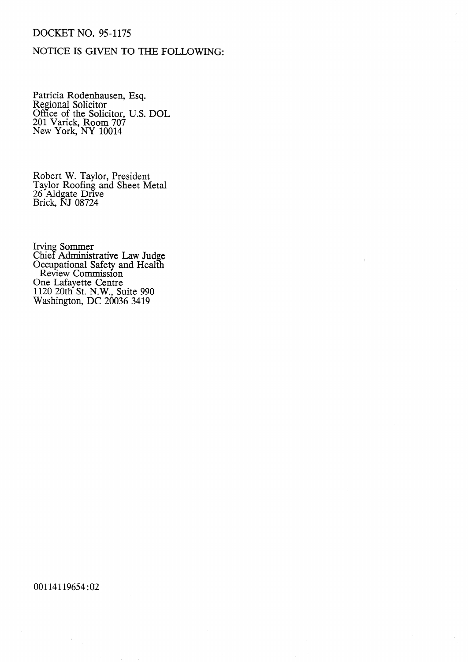# DOCKET NO. 95-1175

# NOTICE IS GIVEN TO THE FOLLOWING:

Patricia Rodenhausen, Esq. Regional Solicitor Office of the Solicitor, U.S. DOL 201 Varick, Room 70? New York, NY 10014

Robert W. Taylor, President Taylor Roofing and Sheet Metal 26 Aldgate Drive Brick, NJ 08724

Irving Sommer Chief Administrative Law Judge Occupational Safety and Health Review Commission One Lafayette Centre 1120 20th St. N.W., Suite 990 Washington, DC 20036 3419

00114119654:02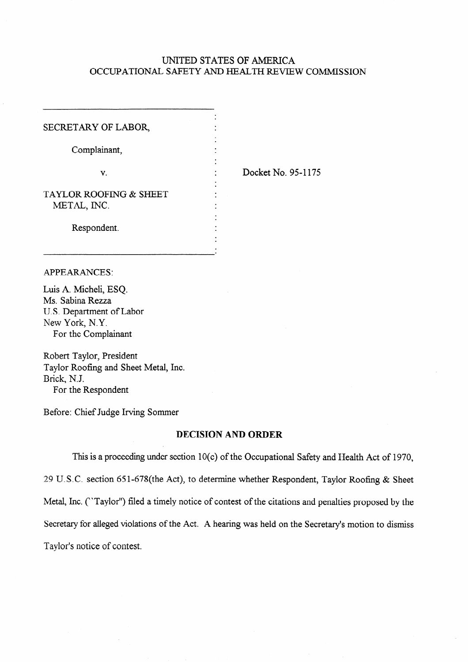## UNITED STATES OF AMERICA OCCUPATIONAL SAFETY AND HEALTH REVIEW COMMISSION

.

.

.

.

.

SECRETARY OF LABOR,

Complainant,

 $\mathbf{v}$ .  $\mathbf{v}$ 

. Docket No. 95-l 175

TAYLOR ROOFING & SHEET . METAL, INC.

Respondent. .

## APPEARANCES:

Luis A. Micheli, ESQ. Ms. Sabina Rezza U.S. Department of Labor New York, N.Y. For the Complainant

Robert Taylor, President Taylor Roofing and Sheet Metal, Inc. Brick, N.J. For the Respondent

Before: Chief Judge Irving Sommer

## **DECISION AND ORDER**

This is a proceeding under section 10(c) of the Occupational Safety and Health Act of 1970, **29** U. S.C. section 65 l-678(the Act), to determine whether Respondent, Taylor Roofing & Sheet Metal, Inc. ("Taylor") filed a timely notice of contest of the citations and penalties proposed by the Secretary for alleged violations of the Act. A hearing was held on the Secretary's motion to dismiss Taylor's notice of contest.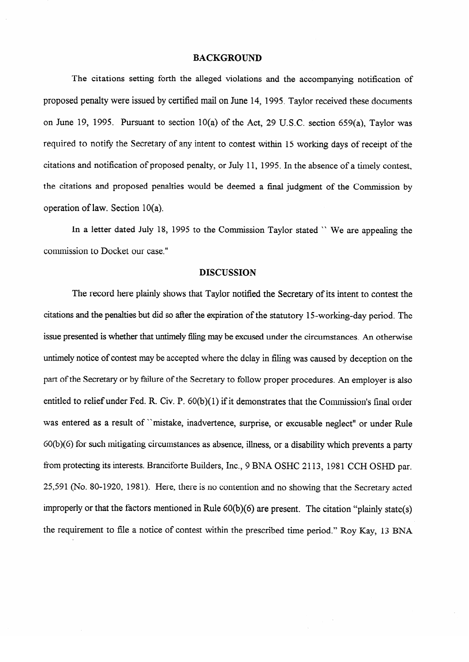### **BACKGROUND**

The citations setting forth the alleged violations and the accompanying notification of proposed penalty were issued by certified mail on June 14, 1995. Taylor received these documents on June 19, 1995. Pursuant to section 10(a) of the Act, 29 U.S.C. section 659(a), Taylor was required to notify the Secretary of any intent to contest within 15 working days of receipt of the  $\mathbf{r}$  and  $\mathbf{r}$  is  $\mathbf{r}$  ,  $\mathbf{r}$  is the absence of a timely context,  $\mathbf{r}$ the citations and proposed penalties would be deemed a final judgment of the Commission by the citations and proposed penalties would be deemed a final judgment of the Commission by operation of law. Section  $10(a)$ .

In a letter dated July 18, 1995 to the Commission Taylor stated "We are appealing the commission to Docket our case."

#### **DISCUSSION**

issue presented is whether that untimely filing may be excused under the circumstances. An otherwise untimely notice of contest may be accepted where the delay in filing was caused by deception on the part of the Secretary or by failure of the Secretary to follow proper procedures. An employer is also entitled to relief under Fed. R. Civ. P.  $60(b)(1)$  if it demonstrates that the Commission's final order was entered as a result of "mistake, inadvertence, surprise, or excusable neglect" or under Rule 60(b)(6) for such mitigating circumstances as absence, illness, or a disability which prevents a party from protecting its interests. Branciforte Builders, Inc., 9 BNA OSHC 2113, 1981 CCH OSHD par. 25,591 (No. 80-1920, 1981). Here, there is no contention and no showing that the Secretary acted improperly or that the factors mentioned in Rule 60(b)(6) are present. The citation "plainly state(s) the requirement to file a notice of contest within the prescribed time period." Roy Kay, 13 BNA